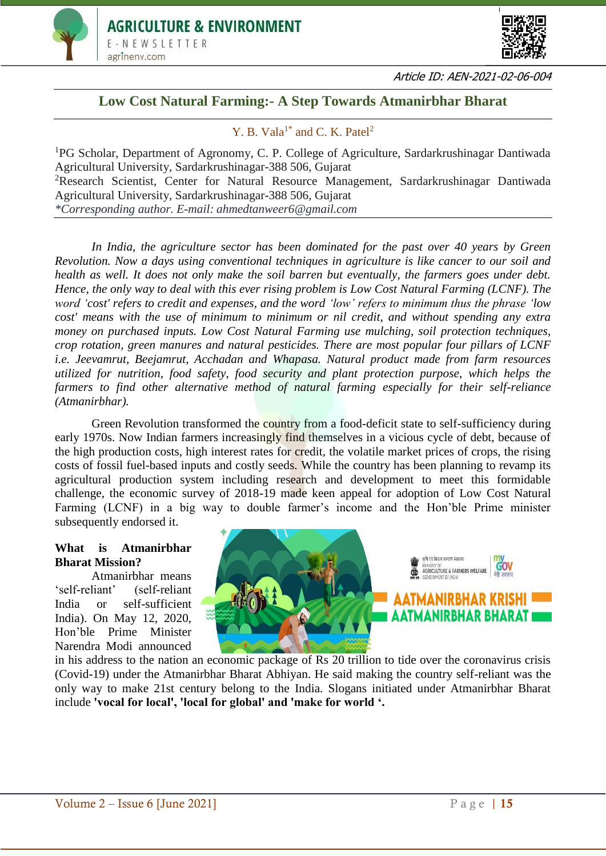



Article ID: AEN-2021-02-06-004

# **Low Cost Natural Farming:- A Step Towards Atmanirbhar Bharat**

# Y. B. Vala<sup>1\*</sup> and C. K. Patel<sup>2</sup>

<sup>1</sup>PG Scholar, Department of Agronomy, C. P. College of Agriculture, Sardarkrushinagar Dantiwada Agricultural University, Sardarkrushinagar-388 506, Gujarat <sup>2</sup>Research Scientist, Center for Natural Resource Management, Sardarkrushinagar Dantiwada Agricultural University, Sardarkrushinagar-388 506, Gujarat *\*Corresponding author. E-mail: ahmedtanweer6@gmail.com*

*In India, the agriculture sector has been dominated for the past over 40 years by Green Revolution. Now a days using conventional techniques in agriculture is like cancer to our soil and health as well. It does not only make the soil barren but eventually, the farmers goes under debt. Hence, the only way to deal with this ever rising problem is Low Cost Natural Farming (LCNF). The word 'cost' refers to credit and expenses, and the word 'low' refers to minimum thus the phrase 'low cost' means with the use of minimum to minimum or nil credit, and without spending any extra money on purchased inputs. Low Cost Natural Farming use mulching, soil protection techniques, crop rotation, green manures and natural pesticides. There are most popular four pillars of LCNF i.e. Jeevamrut, Beejamrut, Acchadan and Whapasa. Natural product made from farm resources utilized for nutrition, food safety, food security and plant protection purpose, which helps the farmers to find other alternative method of natural farming especially for their self-reliance (Atmanirbhar).* 

Green Revolution transformed the country from a food-deficit state to self-sufficiency during early 1970s. Now Indian farmers increasingly find themselves in a vicious cycle of debt, because of the high production costs, high interest rates for credit, the volatile market prices of crops, the rising costs of fossil fuel-based inputs and costly seeds. While the country has been planning to revamp its agricultural production system including research and development to meet this formidable challenge, the economic survey of 2018-19 made keen appeal for adoption of Low Cost Natural Farming (LCNF) in a big way to double farmer's income and the Hon'ble Prime minister subsequently endorsed it.

#### **What is Atmanirbhar Bharat Mission?**

Atmanirbhar means 'self-reliant' (self-reliant India or self-sufficient India). On May 12, 2020, Hon'ble Prime Minister Narendra Modi announced



in his address to the nation an economic package of Rs 20 trillion to tide over the coronavirus crisis (Covid-19) under the Atmanirbhar Bharat Abhiyan. He said making the country self-reliant was the only way to make 21st century belong to the India. Slogans initiated under Atmanirbhar Bharat include **'vocal for local', 'local for global' and 'make for world '.**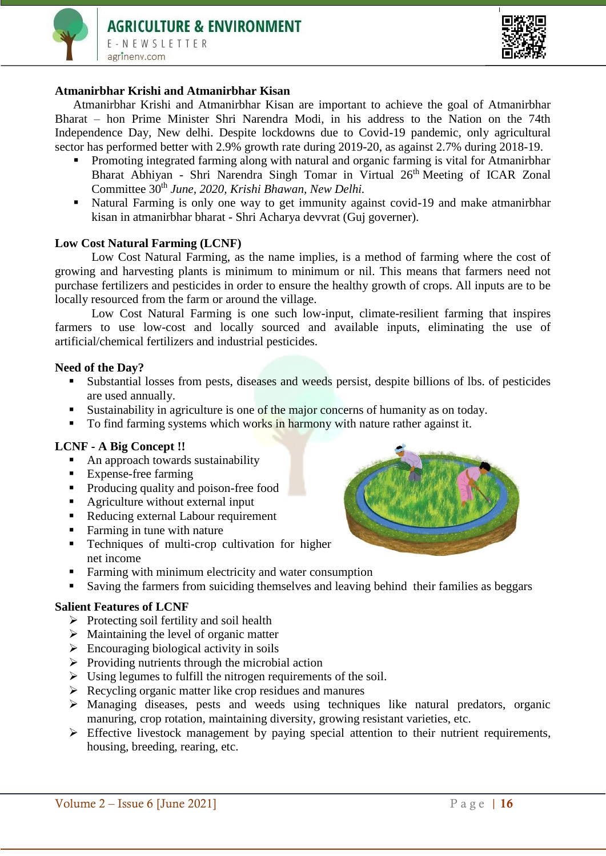



### **Atmanirbhar Krishi and Atmanirbhar Kisan**

Atmanirbhar Krishi and Atmanirbhar Kisan are important to achieve the goal of Atmanirbhar Bharat – hon Prime Minister Shri Narendra Modi, in his address to the Nation on the 74th Independence Day, New delhi. Despite lockdowns due to Covid-19 pandemic, only agricultural sector has performed better with 2.9% growth rate during 2019-20, as against 2.7% during 2018-19.

- Promoting integrated farming along with natural and organic farming is vital for Atmanirbhar Bharat Abhiyan - Shri Narendra Singh Tomar in Virtual 26<sup>th</sup> Meeting of ICAR Zonal Committee 30th *June, 2020, Krishi Bhawan, New Delhi.*
- Natural Farming is only one way to get immunity against covid-19 and make atmanirbhar kisan in atmanirbhar bharat - Shri Acharya devvrat (Guj governer).

#### **Low Cost Natural Farming (LCNF)**

Low Cost Natural Farming, as the name implies, is a method of farming where the cost of growing and harvesting plants is minimum to minimum or nil. This means that farmers need not purchase fertilizers and pesticides in order to ensure the healthy growth of crops. All inputs are to be locally resourced from the farm or around the village.

Low Cost Natural Farming is one such low-input, climate-resilient farming that inspires farmers to use low-cost and locally sourced and available inputs, eliminating the use of artificial/chemical fertilizers and industrial pesticides.

#### **Need of the Day?**

- Substantial losses from pests, diseases and weeds persist, despite billions of lbs. of pesticides are used annually.
- Sustainability in agriculture is one of the major concerns of humanity as on today.
- To find farming systems which works in harmony with nature rather against it.

# **LCNF - A Big Concept !!**

- An approach towards sustainability
- Expense-free farming
- Producing quality and poison-free food
- Agriculture without external input
- Reducing external Labour requirement
- Farming in tune with nature
- **EXECUTE:** Techniques of multi-crop cultivation for higher net income
- **Farming with minimum electricity and water consumption**
- Saving the farmers from suiciding themselves and leaving behind their families as beggars

#### **Salient Features of LCNF**

- $\triangleright$  Protecting soil fertility and soil health
- $\triangleright$  Maintaining the level of organic matter
- $\triangleright$  Encouraging biological activity in soils
- $\triangleright$  Providing nutrients through the microbial action
- $\triangleright$  Using legumes to fulfill the nitrogen requirements of the soil.
- $\triangleright$  Recycling organic matter like crop residues and manures
- $\triangleright$  Managing diseases, pests and weeds using techniques like natural predators, organic manuring, crop rotation, maintaining diversity, growing resistant varieties, etc.
- $\triangleright$  Effective livestock management by paying special attention to their nutrient requirements, housing, breeding, rearing, etc.

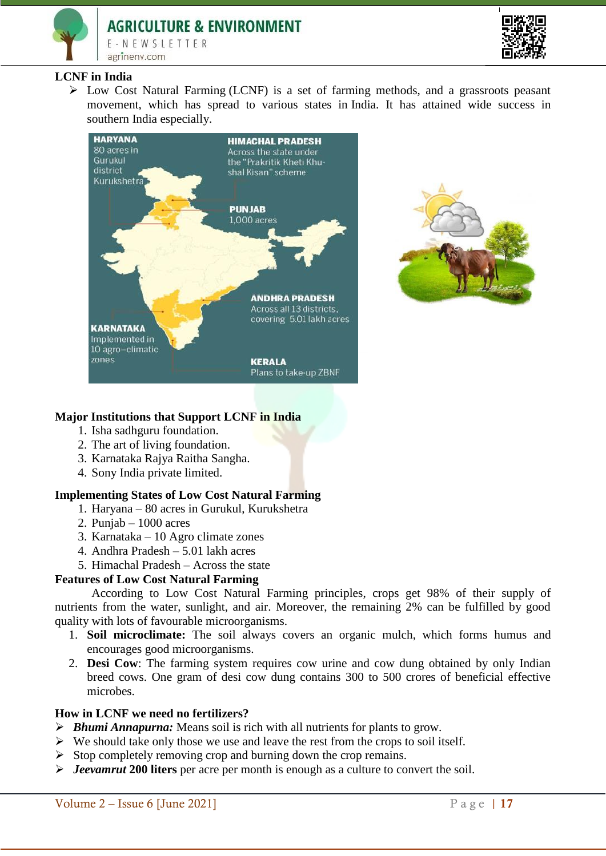



# **LCNF in India**

 $\triangleright$  Low Cost Natural Farming (LCNF) is a set of farming methods, and a grassroots peasant movement, which has spread to various states in India. It has attained wide success in southern India especially.





#### **Major Institutions that Support LCNF in India**

- 1. Isha sadhguru foundation.
- 2. The art of living foundation.
- 3. Karnataka Rajya Raitha Sangha.
- 4. Sony India private limited.

# **Implementing States of Low Cost Natural Farming**

- 1. Haryana 80 acres in Gurukul, Kurukshetra
- 2. Punjab 1000 acres
- 3. Karnataka 10 Agro climate zones
- 4. Andhra Pradesh 5.01 lakh acres
- 5. Himachal Pradesh Across the state

#### **Features of Low Cost Natural Farming**

According to Low Cost Natural Farming principles, crops get 98% of their supply of nutrients from the water, sunlight, and air. Moreover, the remaining 2% can be fulfilled by good quality with lots of favourable microorganisms.

- 1. **Soil microclimate:** The soil always covers an organic mulch, which forms humus and encourages good microorganisms.
- 2. **Desi Cow**: The farming system requires cow urine and cow dung obtained by only Indian breed cows. One gram of desi cow dung contains 300 to 500 crores of beneficial effective microbes.

# **How in LCNF we need no fertilizers?**

- *Bhumi Annapurna:* Means soil is rich with all nutrients for plants to grow.
- $\triangleright$  We should take only those we use and leave the rest from the crops to soil itself.
- $\triangleright$  Stop completely removing crop and burning down the crop remains.
- *Jeevamrut* **200 liters** per acre per month is enough as a culture to convert the soil.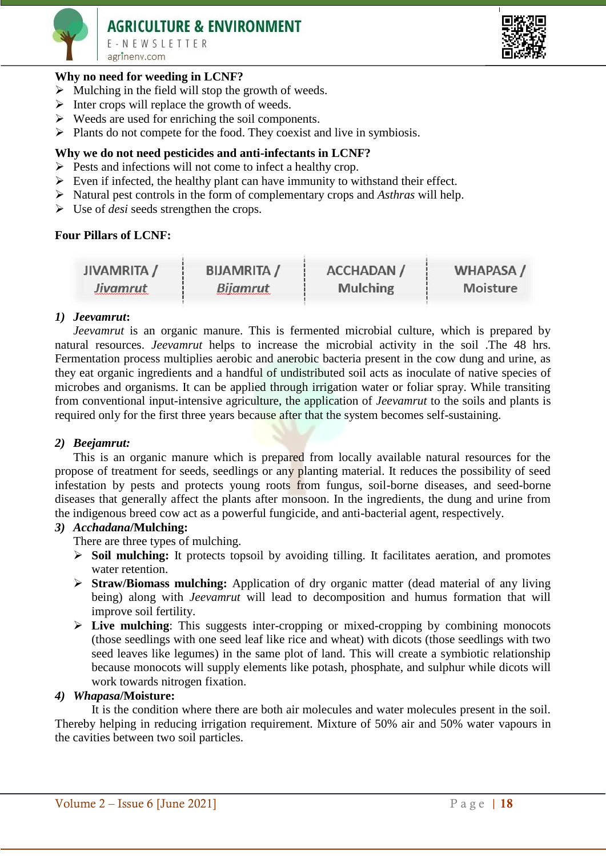# **AGRICULTURE & ENVIRONMENT**

E-NEWSLETTER agrineny.com

# **Why no need for weeding in LCNF?**

- $\triangleright$  Mulching in the field will stop the growth of weeds.
- $\triangleright$  Inter crops will replace the growth of weeds.
- $\triangleright$  Weeds are used for enriching the soil components.
- $\triangleright$  Plants do not compete for the food. They coexist and live in symbiosis.

# **Why we do not need pesticides and anti-infectants in LCNF?**

- $\triangleright$  Pests and infections will not come to infect a healthy crop.
- $\triangleright$  Even if infected, the healthy plant can have immunity to withstand their effect.
- Natural pest controls in the form of complementary crops and *Asthras* will help.
- Use of *desi* seeds strengthen the crops.

# **Four Pillars of LCNF:**

| <b>JIVAMRITA</b> / | <b>BIJAMRITA</b> / | <b>ACCHADAN /</b> | <b>WHAPASA/</b> |
|--------------------|--------------------|-------------------|-----------------|
| Jivamrut           | <b>Bijamrut</b>    | <b>Mulching</b>   | <b>Moisture</b> |

## *1) Jeevamrut***:**

*Jeevamrut* is an organic manure. This is fermented microbial culture, which is prepared by natural resources. *Jeevamrut* helps to increase the microbial activity in the soil .The 48 hrs. Fermentation process multiplies aerobic and anerobic bacteria present in the cow dung and urine, as they eat organic ingredients and a handful of undistributed soil acts as inoculate of native species of microbes and organisms. It can be applied through irrigation water or foliar spray. While transiting from conventional input-intensive agriculture, the application of *Jeevamrut* to the soils and plants is required only for the first three years because after that the system becomes self-sustaining.

#### *2) Beejamrut:*

This is an organic manure which is prepared from locally available natural resources for the propose of treatment for seeds, seedlings or any planting material. It reduces the possibility of seed infestation by pests and protects young roots from fungus, soil-borne diseases, and seed-borne diseases that generally affect the plants after monsoon. In the ingredients, the dung and urine from the indigenous breed cow act as a powerful fungicide, and anti-bacterial agent, respectively.

#### *3) Acchadana***/Mulching:**

There are three types of mulching.

- **Soil mulching:** It protects topsoil by avoiding tilling. It facilitates aeration, and promotes water retention.
- **Straw/Biomass mulching:** Application of dry organic matter (dead material of any living being) along with *Jeevamrut* will lead to decomposition and humus formation that will improve soil fertility.
- **Live mulching**: This suggests inter-cropping or mixed-cropping by combining monocots (those seedlings with one seed leaf like rice and wheat) with dicots (those seedlings with two seed leaves like legumes) in the same plot of land. This will create a symbiotic relationship because monocots will supply elements like potash, phosphate, and sulphur while dicots will work towards nitrogen fixation.

# *4) Whapasa***/Moisture:**

It is the condition where there are both air molecules and water molecules present in the soil. Thereby helping in reducing irrigation requirement. Mixture of 50% air and 50% water vapours in the cavities between two soil particles.

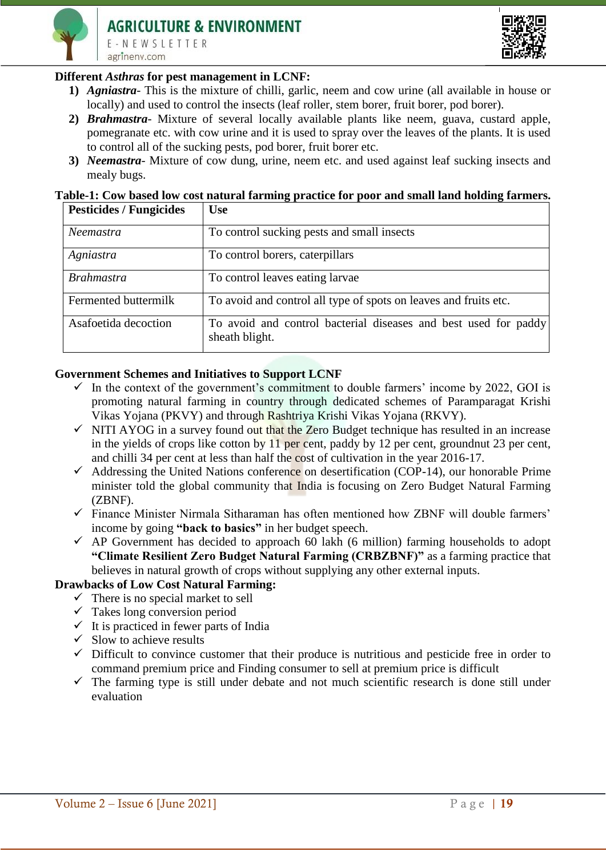



# **Different** *Asthras* **for pest management in LCNF:**

- **1)** *Agniastra-* This is the mixture of chilli, garlic, neem and cow urine (all available in house or locally) and used to control the insects (leaf roller, stem borer, fruit borer, pod borer).
- **2)** *Brahmastra* Mixture of several locally available plants like neem, guava, custard apple, pomegranate etc. with cow urine and it is used to spray over the leaves of the plants. It is used to control all of the sucking pests, pod borer, fruit borer etc.
- **3)** *Neemastra* Mixture of cow dung, urine, neem etc. and used against leaf sucking insects and mealy bugs.

### **Table-1: Cow based low cost natural farming practice for poor and small land holding farmers.**

| <b>Pesticides / Fungicides</b> | <b>Use</b>                                                                        |  |
|--------------------------------|-----------------------------------------------------------------------------------|--|
| Neemastra                      | To control sucking pests and small insects                                        |  |
| Agniastra                      | To control borers, caterpillars                                                   |  |
| <i>Brahmastra</i>              | To control leaves eating larvae                                                   |  |
| Fermented buttermilk           | To avoid and control all type of spots on leaves and fruits etc.                  |  |
| Asafoetida decoction           | To avoid and control bacterial diseases and best used for paddy<br>sheath blight. |  |

#### **Government Schemes and Initiatives to Support LCNF**

- $\checkmark$  In the context of the government's commitment to double farmers' income by 2022, GOI is promoting natural farming in country through dedicated schemes of Paramparagat Krishi Vikas Yojana (PKVY) and through Rashtriya Krishi Vikas Yojana (RKVY).
- $\checkmark$  NITI AYOG in a survey found out that the Zero Budget technique has resulted in an increase in the yields of crops like cotton by 11 per cent, paddy by 12 per cent, groundnut 23 per cent, and chilli 34 per cent at less than half the cost of cultivation in the year 2016-17.
- $\checkmark$  Addressing the United Nations conference on desertification (COP-14), our honorable Prime minister told the global community that India is focusing on Zero Budget Natural Farming (ZBNF).
- $\checkmark$  Finance Minister Nirmala Sitharaman has often mentioned how ZBNF will double farmers' income by going **["back to basics"](https://www.thehindu.com/business/budget/budget-2019-farmers-should-take-up-zero-budget-farming-says-nirmala-sitharaman/article28292499.ece)** in her budget speech.
- $\checkmark$  AP Government has decided to approach 60 lakh (6 million) farming households to adopt **"Climate Resilient Zero Budget Natural Farming (CRBZBNF)"** as a farming practice that believes in natural growth of crops without supplying any other external inputs.

# **Drawbacks of Low Cost Natural Farming:**

- $\checkmark$  There is no special market to sell
- $\checkmark$  Takes long conversion period
- $\checkmark$  It is practiced in fewer parts of India
- $\checkmark$  Slow to achieve results
- $\checkmark$  Difficult to convince customer that their produce is nutritious and pesticide free in order to command premium price and Finding consumer to sell at premium price is difficult
- $\checkmark$  The farming type is still under debate and not much scientific research is done still under evaluation